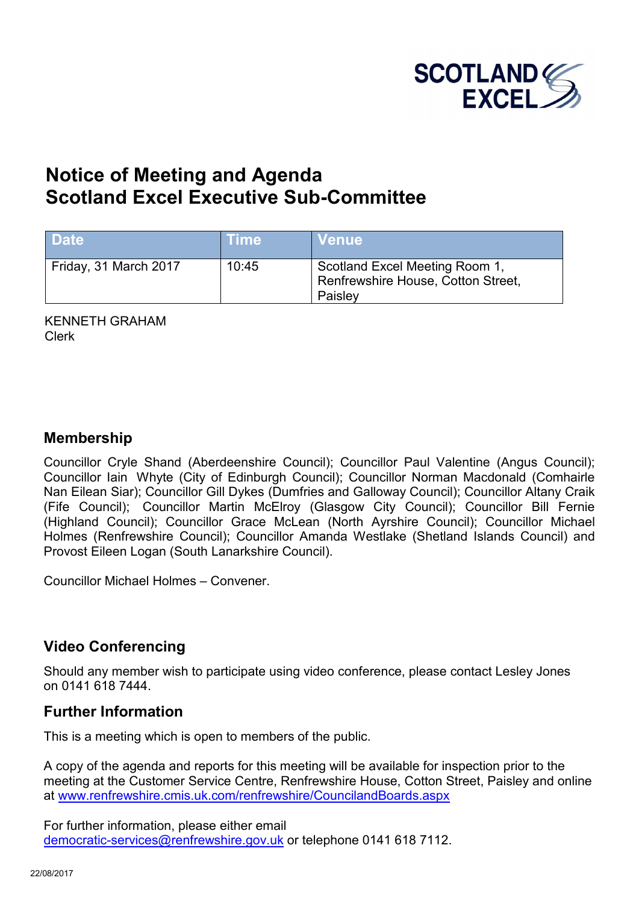

# **Notice of Meeting and Agenda Scotland Excel Executive Sub-Committee**

| <b>Date</b>           | <b>Time</b> | <b>Venue</b>                                                                    |
|-----------------------|-------------|---------------------------------------------------------------------------------|
| Friday, 31 March 2017 | 10:45       | Scotland Excel Meeting Room 1,<br>Renfrewshire House, Cotton Street,<br>Paisley |

KENNETH GRAHAM Clerk

#### **Membership**

Councillor Cryle Shand (Aberdeenshire Council); Councillor Paul Valentine (Angus Council); Councillor Iain Whyte (City of Edinburgh Council); Councillor Norman Macdonald (Comhairle Nan Eilean Siar); Councillor Gill Dykes (Dumfries and Galloway Council); Councillor Altany Craik (Fife Council); Councillor Martin McElroy (Glasgow City Council); Councillor Bill Fernie (Highland Council); Councillor Grace McLean (North Ayrshire Council); Councillor Michael Holmes (Renfrewshire Council); Councillor Amanda Westlake (Shetland Islands Council) and Provost Eileen Logan (South Lanarkshire Council).

Councillor Michael Holmes – Convener.

## **Video Conferencing**

Should any member wish to participate using video conference, please contact Lesley Jones on 0141 618 7444.

#### **Further Information**

This is a meeting which is open to members of the public.

A copy of the agenda and reports for this meeting will be available for inspection prior to the meeting at the Customer Service Centre, Renfrewshire House, Cotton Street, Paisley and online at [www.renfrewshire.cmis.uk.com/renfrewshire/CouncilandBoards.aspx](http://www.renfrewshire.cmis.uk.com/renfrewshire/CouncilandBoards.aspx)

For further information, please either email [democratic-services@renfrewshire.gov.uk](mailto:democratic-services@renfrewshire.gov.uk) or telephone 0141 618 7112.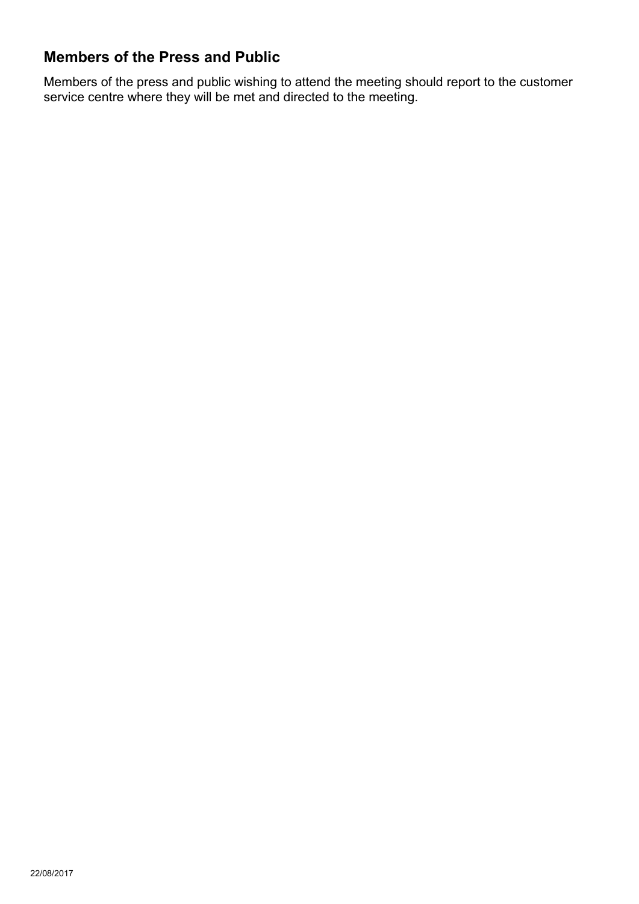# **Members of the Press and Public**

Members of the press and public wishing to attend the meeting should report to the customer service centre where they will be met and directed to the meeting.